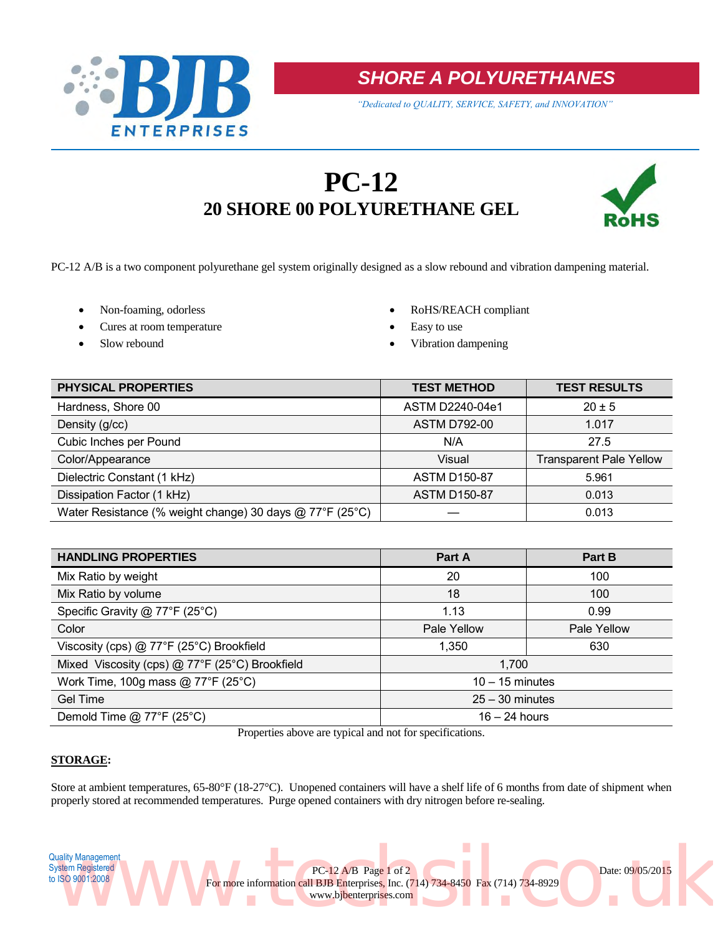



*"Dedicated to QUALITY, SERVICE, SAFETY, and INNOVATION"*

# **PC-12 20 SHORE 00 POLYURETHANE GEL**



PC-12 A/B is a two component polyurethane gel system originally designed as a slow rebound and vibration dampening material.

- 
- Cures at room temperature **Easy** to use
- 
- Non-foaming, odorless <br> RoHS/REACH compliant
	-
- Slow rebound **victor vibration dampening vibration dampening**

| PHYSICAL PROPERTIES                                      | <b>TEST METHOD</b>  | <b>TEST RESULTS</b>            |
|----------------------------------------------------------|---------------------|--------------------------------|
| Hardness, Shore 00                                       | ASTM D2240-04e1     | $20 \pm 5$                     |
| Density (g/cc)                                           | <b>ASTM D792-00</b> | 1.017                          |
| Cubic Inches per Pound                                   | N/A                 | 27.5                           |
| Color/Appearance                                         | Visual              | <b>Transparent Pale Yellow</b> |
| Dielectric Constant (1 kHz)                              | <b>ASTM D150-87</b> | 5.961                          |
| Dissipation Factor (1 kHz)                               | <b>ASTM D150-87</b> | 0.013                          |
| Water Resistance (% weight change) 30 days @ 77°F (25°C) |                     | 0.013                          |

| <b>HANDLING PROPERTIES</b>                        | Part A            | Part B      |  |
|---------------------------------------------------|-------------------|-------------|--|
| Mix Ratio by weight                               | 20                | 100         |  |
| Mix Ratio by volume                               | 18                | 100         |  |
| Specific Gravity @ 77°F (25°C)                    | 1.13              | 0.99        |  |
| Color                                             | Pale Yellow       | Pale Yellow |  |
| Viscosity (cps) @ 77°F (25°C) Brookfield          | 1,350             | 630         |  |
| Mixed Viscosity (cps) @ 77°F (25°C) Brookfield    | 1,700             |             |  |
| Work Time, 100g mass @ $77^{\circ}F(25^{\circ}C)$ | $10 - 15$ minutes |             |  |
| Gel Time                                          | $25 - 30$ minutes |             |  |
| Demold Time $@$ 77°F (25°C)                       | $16 - 24$ hours   |             |  |

Properties above are typical and not for specifications.

## **STORAGE:**

Store at ambient temperatures, 65-80°F (18-27°C). Unopened containers will have a shelf life of 6 months from date of shipment when properly stored at recommended temperatures. Purge opened containers with dry nitrogen before re-sealing.

www.bjbenterprises.com

For more information call BJB Enterprises, Inc. (714) 734-8450 Fax (714) 734-8929

PC-12 A/B Page 1 of 2 Date: 09/05/2015